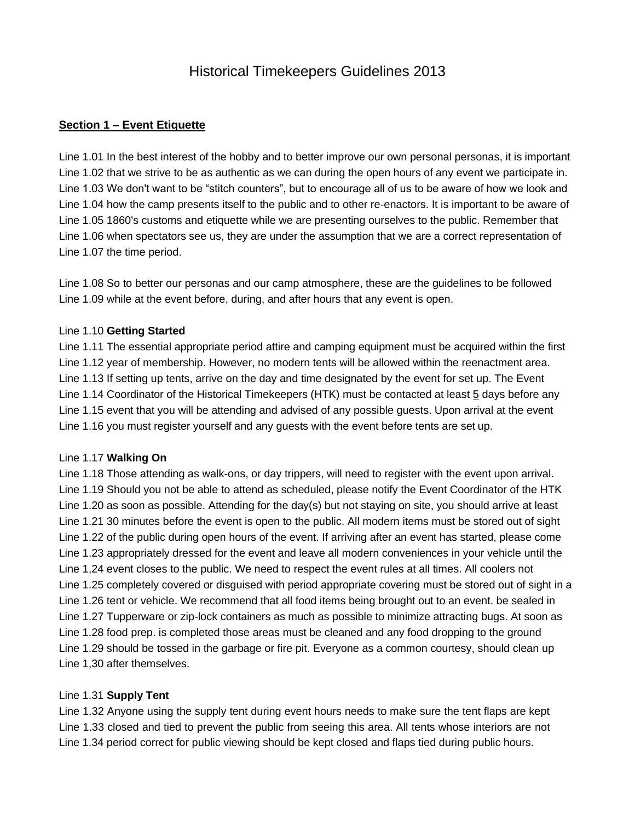#### **Section 1 – Event Etiquette**

Line 1.01 In the best interest of the hobby and to better improve our own personal personas, it is important Line 1.02 that we strive to be as authentic as we can during the open hours of any event we participate in. Line 1.03 We don't want to be "stitch counters", but to encourage all of us to be aware of how we look and Line 1.04 how the camp presents itself to the public and to other re-enactors. It is important to be aware of Line 1.05 1860's customs and etiquette while we are presenting ourselves to the public. Remember that Line 1.06 when spectators see us, they are under the assumption that we are a correct representation of Line 1.07 the time period.

Line 1.08 So to better our personas and our camp atmosphere, these are the guidelines to be followed Line 1.09 while at the event before, during, and after hours that any event is open.

#### Line 1.10 **Getting Started**

Line 1.11 The essential appropriate period attire and camping equipment must be acquired within the first Line 1.12 year of membership. However, no modern tents will be allowed within the reenactment area. Line 1.13 If setting up tents, arrive on the day and time designated by the event for set up. The Event Line 1.14 Coordinator of the Historical Timekeepers (HTK) must be contacted at least 5 days before any Line 1.15 event that you will be attending and advised of any possible guests. Upon arrival at the event Line 1.16 you must register yourself and any guests with the event before tents are set up.

#### Line 1.17 **Walking On**

Line 1.18 Those attending as walk-ons, or day trippers, will need to register with the event upon arrival. Line 1.19 Should you not be able to attend as scheduled, please notify the Event Coordinator of the HTK Line 1.20 as soon as possible. Attending for the day(s) but not staying on site, you should arrive at least Line 1.21 30 minutes before the event is open to the public. All modern items must be stored out of sight Line 1.22 of the public during open hours of the event. If arriving after an event has started, please come Line 1.23 appropriately dressed for the event and leave all modern conveniences in your vehicle until the Line 1,24 event closes to the public. We need to respect the event rules at all times. All coolers not Line 1.25 completely covered or disguised with period appropriate covering must be stored out of sight in a Line 1.26 tent or vehicle. We recommend that all food items being brought out to an event. be sealed in Line 1.27 Tupperware or zip-lock containers as much as possible to minimize attracting bugs. At soon as Line 1.28 food prep. is completed those areas must be cleaned and any food dropping to the ground Line 1.29 should be tossed in the garbage or fire pit. Everyone as a common courtesy, should clean up Line 1,30 after themselves.

#### Line 1.31 **Supply Tent**

Line 1.32 Anyone using the supply tent during event hours needs to make sure the tent flaps are kept Line 1.33 closed and tied to prevent the public from seeing this area. All tents whose interiors are not Line 1.34 period correct for public viewing should be kept closed and flaps tied during public hours.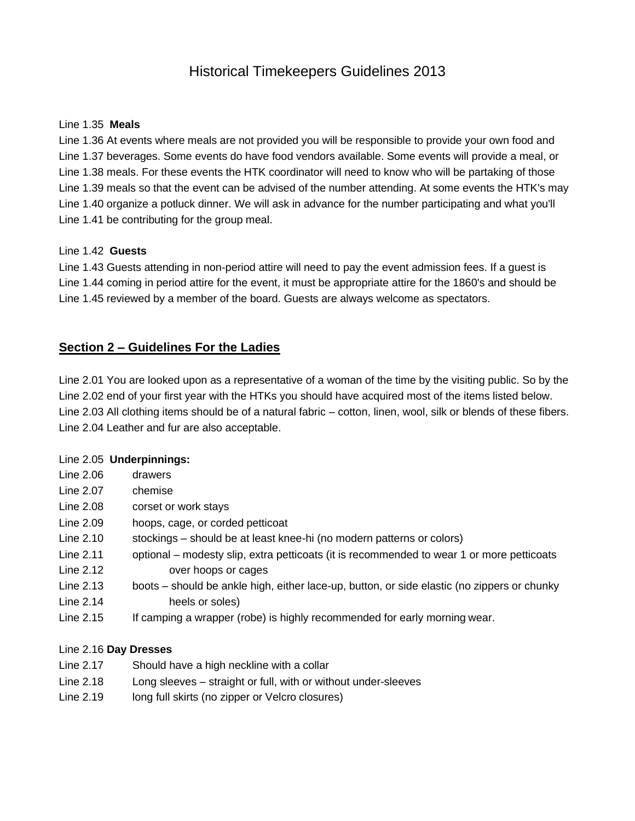#### Line 1.35 **Meals**

Line 1.36 At events where meals are not provided you will be responsible to provide your own food and Line 1.37 beverages. Some events do have food vendors available. Some events will provide a meal, or Line 1.38 meals. For these events the HTK coordinator will need to know who will be partaking of those Line 1.39 meals so that the event can be advised of the number attending. At some events the HTK's may Line 1.40 organize a potluck dinner. We will ask in advance for the number participating and what you'll Line 1.41 be contributing for the group meal.

### Line 1.42 **Guests**

Line 1.43 Guests attending in non-period attire will need to pay the event admission fees. If a guest is Line 1.44 coming in period attire for the event, it must be appropriate attire for the 1860's and should be Line 1.45 reviewed by a member of the board. Guests are always welcome as spectators.

### **Section 2 – Guidelines For the Ladies**

Line 2.01 You are looked upon as a representative of a woman of the time by the visiting public. So by the Line 2.02 end of your first year with the HTKs you should have acquired most of the items listed below. Line 2.03 All clothing items should be of a natural fabric – cotton, linen, wool, silk or blends of these fibers. Line 2.04 Leather and fur are also acceptable.

#### Line 2.05 **Underpinnings:**

| Line 2.06 | drawers                                                                                     |
|-----------|---------------------------------------------------------------------------------------------|
| Line 2.07 | chemise                                                                                     |
| Line 2.08 | corset or work stays                                                                        |
| Line 2.09 | hoops, cage, or corded petticoat                                                            |
| Line 2.10 | stockings – should be at least knee-hi (no modern patterns or colors)                       |
| Line 2.11 | optional – modesty slip, extra petticoats (it is recommended to wear 1 or more petticoats   |
| Line 2.12 | over hoops or cages                                                                         |
| Line 2.13 | boots – should be ankle high, either lace-up, button, or side elastic (no zippers or chunky |
| Line 2.14 | heels or soles)                                                                             |
| Line 2.15 | If camping a wrapper (robe) is highly recommended for early morning wear.                   |

#### Line 2.16 **Day Dresses**

- Line 2.17 Should have a high neckline with a collar
- Line 2.18 Long sleeves straight or full, with or without under-sleeves
- Line 2.19 long full skirts (no zipper or Velcro closures)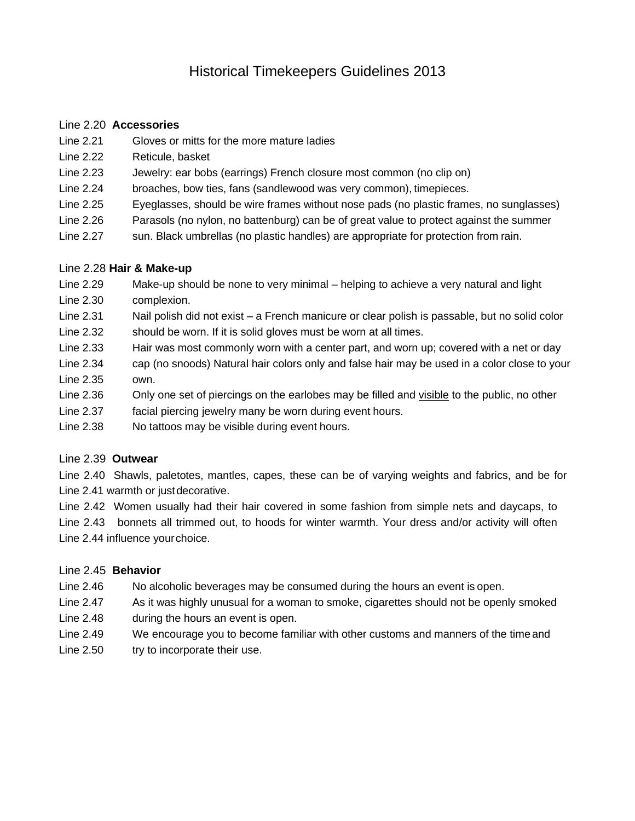### Line 2.20 **Accessories**

- Line 2.21 Gloves or mitts for the more mature ladies
- Line 2.22 Reticule, basket
- Line 2.23 Jewelry: ear bobs (earrings) French closure most common (no clip on)
- Line 2.24 broaches, bow ties, fans (sandlewood was very common), timepieces.
- Line 2.25 Eyeglasses, should be wire frames without nose pads (no plastic frames, no sunglasses)
- Line 2.26 Parasols (no nylon, no battenburg) can be of great value to protect against the summer
- Line 2.27 sun. Black umbrellas (no plastic handles) are appropriate for protection from rain.

#### Line 2.28 **Hair & Make-up**

- Line 2.29 Make-up should be none to very minimal helping to achieve a very natural and light
- Line 2.30 complexion.
- Line 2.31 Nail polish did not exist a French manicure or clear polish is passable, but no solid color Line 2.32 should be worn. If it is solid gloves must be worn at all times.
- Line 2.33 Hair was most commonly worn with a center part, and worn up; covered with a net or day
- Line 2.34 cap (no snoods) Natural hair colors only and false hair may be used in a color close to your Line 2.35 own.
- Line 2.36 Only one set of piercings on the earlobes may be filled and visible to the public, no other
- Line 2.37 facial piercing jewelry many be worn during event hours.
- Line 2.38 No tattoos may be visible during event hours.

### Line 2.39 **Outwear**

Line 2.40 Shawls, paletotes, mantles, capes, these can be of varying weights and fabrics, and be for Line 2.41 warmth or justdecorative.

Line 2.42 Women usually had their hair covered in some fashion from simple nets and daycaps, to Line 2.43 bonnets all trimmed out, to hoods for winter warmth. Your dress and/or activity will often Line 2.44 influence yourchoice.

### Line 2.45 **Behavior**

- Line 2.46 No alcoholic beverages may be consumed during the hours an event is open.
- Line 2.47 As it was highly unusual for a woman to smoke, cigarettes should not be openly smoked
- Line 2.48 during the hours an event is open.
- Line 2.49 We encourage you to become familiar with other customs and manners of the timeand
- Line 2.50 try to incorporate their use.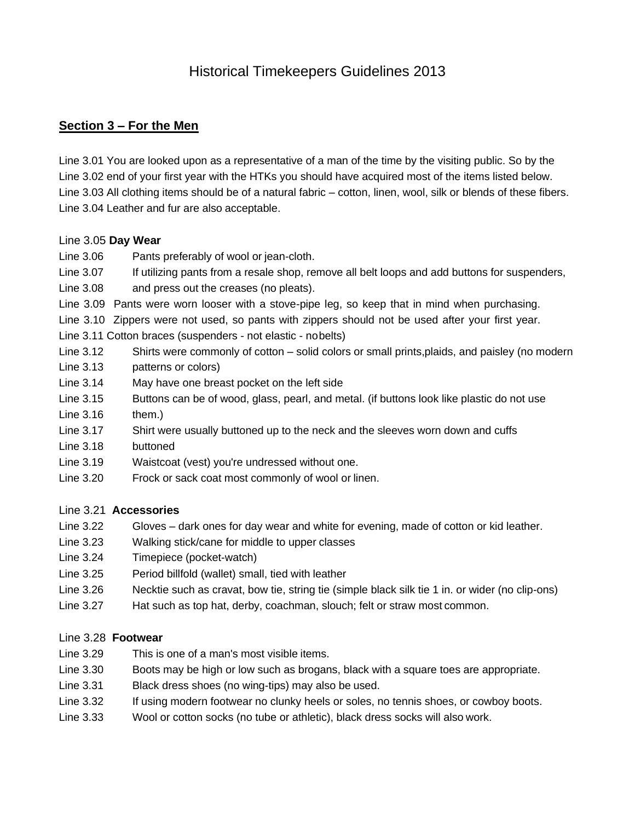### **Section 3 – For the Men**

Line 3.01 You are looked upon as a representative of a man of the time by the visiting public. So by the Line 3.02 end of your first year with the HTKs you should have acquired most of the items listed below. Line 3.03 All clothing items should be of a natural fabric – cotton, linen, wool, silk or blends of these fibers. Line 3.04 Leather and fur are also acceptable.

### Line 3.05 **Day Wear**

Line 3.06 Pants preferably of wool or jean-cloth.

Line 3.07 If utilizing pants from a resale shop, remove all belt loops and add buttons for suspenders,

Line 3.08 and press out the creases (no pleats).

Line 3.09 Pants were worn looser with a stove-pipe leg, so keep that in mind when purchasing.

Line 3.10 Zippers were not used, so pants with zippers should not be used after your first year.

Line 3.11 Cotton braces (suspenders - not elastic - nobelts)

Line 3.12 Shirts were commonly of cotton – solid colors or small prints,plaids, and paisley (no modern Line 3.13 patterns or colors)

- 
- Line 3.14 May have one breast pocket on the left side
- Line 3.15 Buttons can be of wood, glass, pearl, and metal. (if buttons look like plastic do not use  $Line 3.16$  them.)
- Line 3.17 Shirt were usually buttoned up to the neck and the sleeves worn down and cuffs
- Line 3.18 buttoned
- Line 3.19 Waistcoat (vest) you're undressed without one.
- Line 3.20 Frock or sack coat most commonly of wool or linen.

### Line 3.21 **Accessories**

- Line 3.22 Gloves dark ones for day wear and white for evening, made of cotton or kid leather.
- Line 3.23 Walking stick/cane for middle to upper classes
- Line 3.24 Timepiece (pocket-watch)
- Line 3.25 Period billfold (wallet) small, tied with leather
- Line 3.26 Necktie such as cravat, bow tie, string tie (simple black silk tie 1 in. or wider (no clip-ons)
- Line 3.27 Hat such as top hat, derby, coachman, slouch; felt or straw most common.

### Line 3.28 **Footwear**

- Line 3.29 This is one of a man's most visible items.
- Line 3.30 Boots may be high or low such as brogans, black with a square toes are appropriate.
- Line 3.31 Black dress shoes (no wing-tips) may also be used.
- Line 3.32 If using modern footwear no clunky heels or soles, no tennis shoes, or cowboy boots.
- Line 3.33 Wool or cotton socks (no tube or athletic), black dress socks will also work.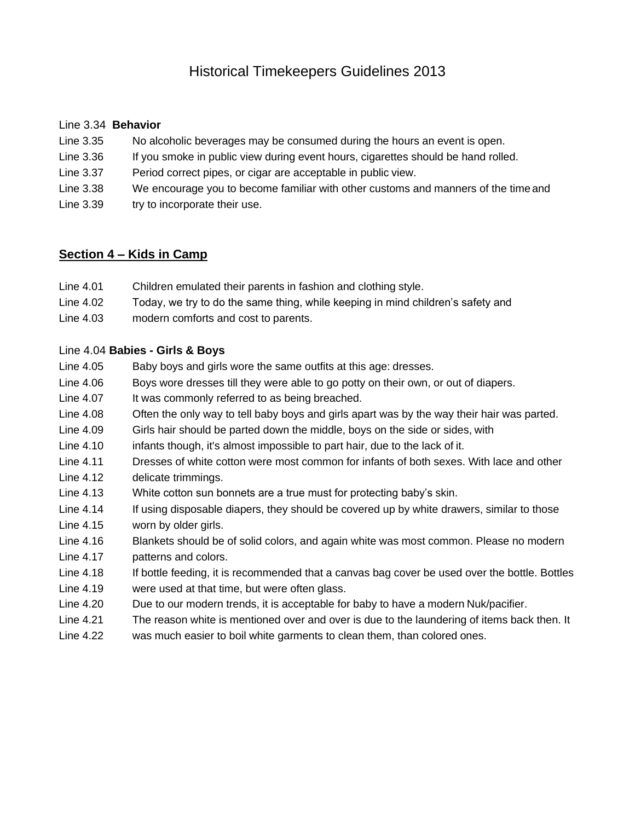### Line 3.34 **Behavior**

- Line 3.35 No alcoholic beverages may be consumed during the hours an event is open.
- Line 3.36 If you smoke in public view during event hours, cigarettes should be hand rolled.
- Line 3.37 Period correct pipes, or cigar are acceptable in public view.
- Line 3.38 We encourage you to become familiar with other customs and manners of the timeand
- Line 3.39 try to incorporate their use.

### **Section 4 – Kids in Camp**

- Line 4.01 Children emulated their parents in fashion and clothing style.
- Line 4.02 Today, we try to do the same thing, while keeping in mind children's safety and
- Line 4.03 modern comforts and cost to parents.

### Line 4.04 **Babies - Girls & Boys**

- Line 4.05 Baby boys and girls wore the same outfits at this age: dresses.
- Line 4.06 Boys wore dresses till they were able to go potty on their own, or out of diapers.
- Line 4.07 It was commonly referred to as being breached.
- Line 4.08 Often the only way to tell baby boys and girls apart was by the way their hair was parted.
- Line 4.09 Girls hair should be parted down the middle, boys on the side or sides, with
- Line 4.10 infants though, it's almost impossible to part hair, due to the lack of it.
- Line 4.11 Dresses of white cotton were most common for infants of both sexes. With lace and other Line 4.12 delicate trimmings.
- Line 4.13 White cotton sun bonnets are a true must for protecting baby's skin.
- Line 4.14 If using disposable diapers, they should be covered up by white drawers, similar to those
- Line 4.15 worn by older girls.
- Line 4.16 Blankets should be of solid colors, and again white was most common. Please no modern
- Line 4.17 patterns and colors.
- Line 4.18 If bottle feeding, it is recommended that a canvas bag cover be used over the bottle. Bottles
- Line 4.19 were used at that time, but were often glass.
- Line 4.20 Due to our modern trends, it is acceptable for baby to have a modern Nuk/pacifier.
- Line 4.21 The reason white is mentioned over and over is due to the laundering of items back then. It
- Line 4.22 was much easier to boil white garments to clean them, than colored ones.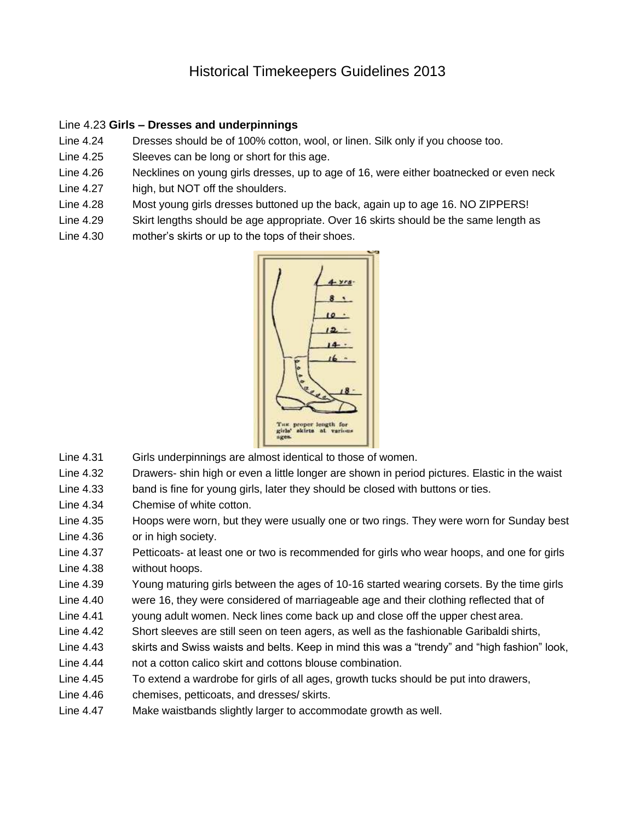#### Line 4.23 **Girls – Dresses and underpinnings**

- Line 4.24 Dresses should be of 100% cotton, wool, or linen. Silk only if you choose too.
- Line 4.25 Sleeves can be long or short for this age.
- Line 4.26 Necklines on young girls dresses, up to age of 16, were either boatnecked or even neck
- Line 4.27 high, but NOT off the shoulders.
- Line 4.28 Most young girls dresses buttoned up the back, again up to age 16. NO ZIPPERS!
- Line 4.29 Skirt lengths should be age appropriate. Over 16 skirts should be the same length as
- Line 4.30 mother's skirts or up to the tops of their shoes.



- Line 4.31 Girls underpinnings are almost identical to those of women.
- Line 4.32 Drawers- shin high or even a little longer are shown in period pictures. Elastic in the waist
- Line 4.33 band is fine for young girls, later they should be closed with buttons or ties.
- Line 4.34 Chemise of white cotton.
- Line 4.35 Hoops were worn, but they were usually one or two rings. They were worn for Sunday best
- Line 4.36 or in high society.
- Line 4.37 Petticoats- at least one or two is recommended for girls who wear hoops, and one for girls Line 4.38 without hoops.
- Line 4.39 Young maturing girls between the ages of 10-16 started wearing corsets. By the time girls
- Line 4.40 were 16, they were considered of marriageable age and their clothing reflected that of
- Line 4.41 young adult women. Neck lines come back up and close off the upper chest area.
- Line 4.42 Short sleeves are still seen on teen agers, as well as the fashionable Garibaldi shirts,
- Line 4.43 skirts and Swiss waists and belts. Keep in mind this was a "trendy" and "high fashion" look, Line 4.44 not a cotton calico skirt and cottons blouse combination.
- Line 4.45 To extend a wardrobe for girls of all ages, growth tucks should be put into drawers,
- Line 4.46 chemises, petticoats, and dresses/ skirts.
- Line 4.47 Make waistbands slightly larger to accommodate growth as well.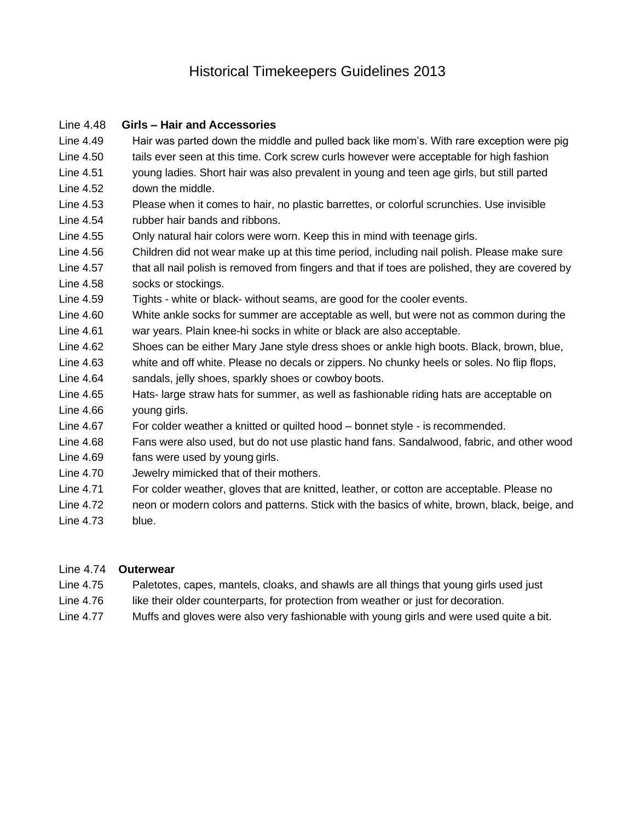### Line 4.48 **Girls – Hair and Accessories**

- Line 4.49 Hair was parted down the middle and pulled back like mom's. With rare exception were pig
- Line 4.50 tails ever seen at this time. Cork screw curls however were acceptable for high fashion Line 4.51 young ladies. Short hair was also prevalent in young and teen age girls, but still parted
- Line 4.52 down the middle.
- Line 4.53 Please when it comes to hair, no plastic barrettes, or colorful scrunchies. Use invisible Line 4.54 rubber hair bands and ribbons.
- Line 4.55 Only natural hair colors were worn. Keep this in mind with teenage girls.
- Line 4.56 Children did not wear make up at this time period, including nail polish. Please make sure
- Line 4.57 that all nail polish is removed from fingers and that if toes are polished, they are covered by Line 4.58 socks or stockings.
- Line 4.59 Tights white or black- without seams, are good for the cooler events.
- Line 4.60 White ankle socks for summer are acceptable as well, but were not as common during the Line 4.61 war years. Plain knee-hi socks in white or black are also acceptable.
- Line 4.62 Shoes can be either Mary Jane style dress shoes or ankle high boots. Black, brown, blue,
- Line 4.63 white and off white. Please no decals or zippers. No chunky heels or soles. No flip flops,
- Line 4.64 sandals, jelly shoes, sparkly shoes or cowboy boots.
- Line 4.65 Hats- large straw hats for summer, as well as fashionable riding hats are acceptable on Line 4.66 young girls.
- Line 4.67 For colder weather a knitted or quilted hood bonnet style is recommended.
- Line 4.68 Fans were also used, but do not use plastic hand fans. Sandalwood, fabric, and other wood
- Line 4.69 fans were used by young girls.
- Line 4.70 Jewelry mimicked that of their mothers.
- Line 4.71 For colder weather, gloves that are knitted, leather, or cotton are acceptable. Please no
- Line 4.72 neon or modern colors and patterns. Stick with the basics of white, brown, black, beige, and
- Line 4.73 blue.

### Line 4.74 **Outerwear**

- Line 4.75 Paletotes, capes, mantels, cloaks, and shawls are all things that young girls used just
- Line 4.76 like their older counterparts, for protection from weather or just for decoration.
- Line 4.77 Muffs and gloves were also very fashionable with young girls and were used quite a bit.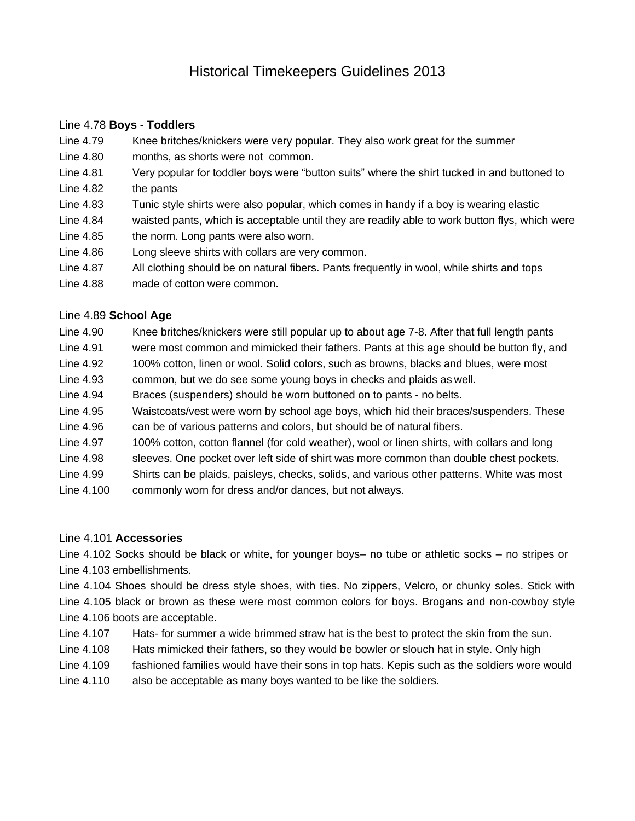### Line 4.78 **Boys - Toddlers**

- Line 4.79 Knee britches/knickers were very popular. They also work great for the summer
- Line 4.80 months, as shorts were not common.
- Line 4.81 Very popular for toddler boys were "button suits" where the shirt tucked in and buttoned to Line 4.82 the pants
- 
- Line 4.83 Tunic style shirts were also popular, which comes in handy if a boy is wearing elastic
- Line 4.84 waisted pants, which is acceptable until they are readily able to work button flys, which were
- Line 4.85 the norm. Long pants were also worn.
- Line 4.86 Long sleeve shirts with collars are very common.
- Line 4.87 All clothing should be on natural fibers. Pants frequently in wool, while shirts and tops
- Line 4.88 made of cotton were common.

### Line 4.89 **School Age**

- Line 4.90 Knee britches/knickers were still popular up to about age 7-8. After that full length pants
- Line 4.91 were most common and mimicked their fathers. Pants at this age should be button fly, and
- Line 4.92 100% cotton, linen or wool. Solid colors, such as browns, blacks and blues, were most
- Line 4.93 common, but we do see some young boys in checks and plaids as well.
- Line 4.94 Braces (suspenders) should be worn buttoned on to pants no belts.
- Line 4.95 Waistcoats/vest were worn by school age boys, which hid their braces/suspenders. These Line 4.96 can be of various patterns and colors, but should be of natural fibers.
- Line 4.97 100% cotton, cotton flannel (for cold weather), wool or linen shirts, with collars and long
- Line 4.98 sleeves. One pocket over left side of shirt was more common than double chest pockets.
- Line 4.99 Shirts can be plaids, paisleys, checks, solids, and various other patterns. White was most
- Line 4.100 commonly worn for dress and/or dances, but not always.

### Line 4.101 **Accessories**

Line 4.102 Socks should be black or white, for younger boys– no tube or athletic socks – no stripes or Line 4.103 embellishments.

Line 4.104 Shoes should be dress style shoes, with ties. No zippers, Velcro, or chunky soles. Stick with Line 4.105 black or brown as these were most common colors for boys. Brogans and non-cowboy style Line 4.106 boots are acceptable.

- Line 4.107 Hats- for summer a wide brimmed straw hat is the best to protect the skin from the sun.
- Line 4.108 Hats mimicked their fathers, so they would be bowler or slouch hat in style. Only high
- Line 4.109 fashioned families would have their sons in top hats. Kepis such as the soldiers wore would
- Line 4.110 also be acceptable as many boys wanted to be like the soldiers.